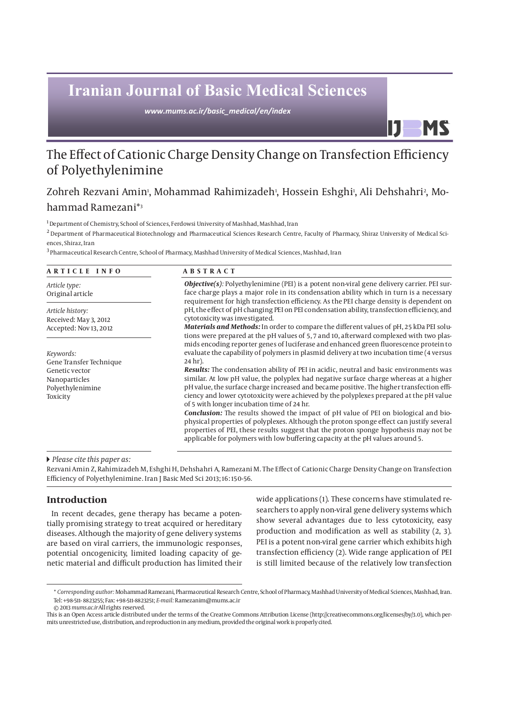# **Iranian Journal of Basic Medical Sciences**

*www.mums.ac.ir/basic\_medical/en/index*

## The Effect of Cationic Charge Density Change on Transfection Efficiency of Polyethylenimine

## Zohreh Rezvani Amin', Mohammad Rahimizadeh<sup>,</sup>, Hossein Eshghi<sup>,</sup>, Ali Dehshahri<sup>,</sup>, Mohammad Ramezani\*3

1 Department of Chemistry, School of Sciences, Ferdowsi University of Mashhad, Mashhad, Iran

<sup>2</sup> Department of Pharmaceutical Biotechnology and Pharmaceutical Sciences Research Centre, Faculty of Pharmacy, Shiraz University of Medical Sciences, Shiraz, Iran

3 Pharmaceutical Research Centre, School of Pharmacy, Mashhad University of Medical Sciences, Mashhad, Iran

| ARTICLE INFO                                  | <b>ABSTRACT</b>                                                                                                                                                                                                                                                                                                                                                                                                          |  |
|-----------------------------------------------|--------------------------------------------------------------------------------------------------------------------------------------------------------------------------------------------------------------------------------------------------------------------------------------------------------------------------------------------------------------------------------------------------------------------------|--|
| Article type:<br>Original article             | <b>Objective(s):</b> Polyethylenimine (PEI) is a potent non-viral gene delivery carrier. PEI sur-<br>face charge plays a major role in its condensation ability which in turn is a necessary<br>requirement for high transfection efficiency. As the PEI charge density is dependent on<br>pH, the effect of pH changing PEI on PEI condensation ability, transfection efficiency, and<br>cytotoxicity was investigated. |  |
| Article history:<br>Received: May 3, 2012     |                                                                                                                                                                                                                                                                                                                                                                                                                          |  |
| Accepted: Nov 13, 2012                        | <b>Materials and Methods:</b> In order to compare the different values of pH, 25 kDa PEI solu-<br>tions were prepared at the pH values of 5, 7 and 10, afterward complexed with two plas-<br>mids encoding reporter genes of luciferase and enhanced green fluorescence protein to                                                                                                                                       |  |
| Keywords:<br>Gene Transfer Technique          | evaluate the capability of polymers in plasmid delivery at two incubation time (4 versus<br>24 hr).                                                                                                                                                                                                                                                                                                                      |  |
| Genetic vector                                | <b>Results:</b> The condensation ability of PEI in acidic, neutral and basic environments was                                                                                                                                                                                                                                                                                                                            |  |
| Nanoparticles<br>Polyethylenimine<br>Toxicity | similar. At low pH value, the polyplex had negative surface charge whereas at a higher<br>pH value, the surface charge increased and became positive. The higher transfection effi-<br>ciency and lower cytotoxicity were achieved by the polyplexes prepared at the pH value<br>of 5 with longer incubation time of 24 hr.                                                                                              |  |
|                                               | <b>Conclusion:</b> The results showed the impact of pH value of PEI on biological and bio-<br>physical properties of polyplexes. Although the proton sponge effect can justify several<br>properties of PEI, these results suggest that the proton sponge hypothesis may not be<br>applicable for polymers with low buffering capacity at the pH values around 5.                                                        |  |

#### *Please cite this paper as:*

Rezvani Amin Z, Rahimizadeh M, Eshghi H, Dehshahri A, Ramezani M. The Effect of Cationic Charge Density Change on Transfection Efficiency of Polyethylenimine. Iran J Basic Med Sci 2013; 16: 150-56.

## **Introduction**

In recent decades, gene therapy has became a potentially promising strategy to treat acquired or hereditary diseases. Although the majority of gene delivery systems are based on viral carriers, the immunologic responses, potential oncogenicity, limited loading capacity of genetic material and difficult production has limited their wide applications (1). These concerns have stimulated researchers to apply non-viral gene delivery systems which show several advantages due to less cytotoxicity, easy production and modification as well as stability (2, 3). PEI is a potent non-viral gene carrier which exhibits high transfection efficiency (2). Wide range application of PEI is still limited because of the relatively low transfection

IJ

**MS** 

<sup>\*</sup> *Corresponding author:* Mohammad Ramezani, Pharmaceutical Research Centre, School of Pharmacy, Mashhad University of Medical Sciences, Mashhad, Iran. Tel: +98-511- 8823255; Fax: +98-511-8823251; *E-mail:* Ramezanim@mums.ac.ir

<sup>© 2013</sup> *mums.ac.ir* All rights reserved.

This is an Open Access article distributed under the terms of the Creative Commons Attribution License (http://creativecommons.org/licenses/by/3.0), which permits unrestricted use, distribution, and reproduction in any medium, provided the original work is properly cited.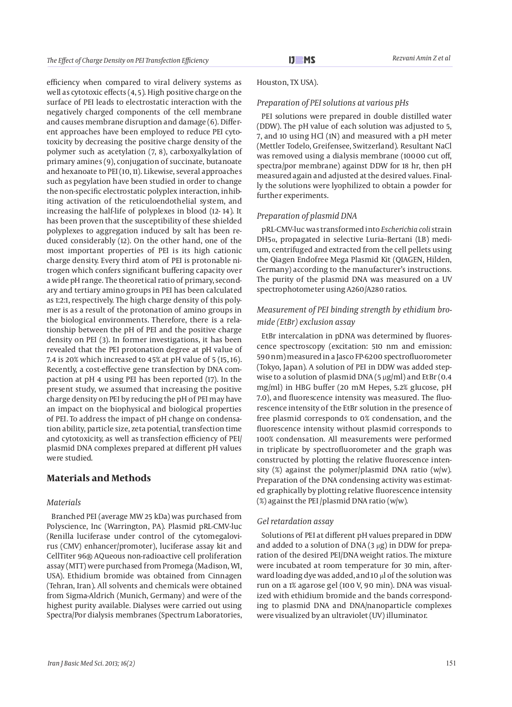efficiency when compared to viral delivery systems as well as cytotoxic effects (4, 5). High positive charge on the surface of PEI leads to electrostatic interaction with the negatively charged components of the cell membrane and causes membrane disruption and damage (6). Different approaches have been employed to reduce PEI cytotoxicity by decreasing the positive charge density of the polymer such as acetylation (7, 8), carboxyalkylation of primary amines (9), conjugation of succinate, butanoate and hexanoate to PEI (10, 11). Likewise, several approaches such as pegylation have been studied in order to change the non-specific electrostatic polyplex interaction, inhibiting activation of the reticuloendothelial system, and increasing the half-life of polyplexes in blood (12- 14). It has been proven that the susceptibility of these shielded polyplexes to aggregation induced by salt has been reduced considerably (12). On the other hand, one of the most important properties of PEI is its high cationic charge density. Every third atom of PEI is protonable nitrogen which confers significant buffering capacity over a wide pH range. The theoretical ratio of primary, secondary and tertiary amino groups in PEI has been calculated as 1:2:1, respectively. The high charge density of this polymer is as a result of the protonation of amino groups in the biological environments. Therefore, there is a relationship between the pH of PEI and the positive charge density on PEI (3). In former investigations, it has been revealed that the PEI protonation degree at pH value of 7.4 is 20% which increased to 45% at pH value of 5 (15, 16). Recently, a cost-effective gene transfection by DNA compaction at pH 4 using PEI has been reported (17). In the present study, we assumed that increasing the positive charge density on PEI by reducing the pH of PEI may have an impact on the biophysical and biological properties of PEI. To address the impact of pH change on condensation ability, particle size, zeta potential, transfection time and cytotoxicity, as well as transfection efficiency of PEI/ plasmid DNA complexes prepared at different pH values were studied.

## **Materials and Methods**

#### *Materials*

Branched PEI (average MW 25 kDa) was purchased from Polyscience, Inc (Warrington, PA). Plasmid pRL-CMV-luc (Renilla luciferase under control of the cytomegalovirus (CMV) enhancer/promoter), luciferase assay kit and CellTiter 96® AQueous non-radioactive cell proliferation assay (MTT) were purchased from Promega (Madison, WI, USA). Ethidium bromide was obtained from Cinnagen (Tehran, Iran). All solvents and chemicals were obtained from Sigma-Aldrich (Munich, Germany) and were of the highest purity available. Dialyses were carried out using Spectra/Por dialysis membranes (Spectrum Laboratories,

Houston, TX USA).

#### *Preparation of PEI solutions at various pHs*

PEI solutions were prepared in double distilled water (DDW). The pH value of each solution was adjusted to 5, 7, and 10 using HCl (1N) and measured with a pH meter (Mettler Todelo, Greifensee, Switzerland). Resultant NaCl was removed using a dialysis membrane (10000 cut off, spectra/por membrane) against DDW for 18 hr, then pH measured again and adjusted at the desired values. Finally the solutions were lyophilized to obtain a powder for further experiments.

#### *Preparation of plasmid DNA*

pRL-CMV-luc was transformed into *Escherichia coli* strain DH5α, propagated in selective Luria–Bertani (LB) medium, centrifuged and extracted from the cell pellets using the Qiagen Endofree Mega Plasmid Kit (QIAGEN, Hilden, Germany) according to the manufacturer's instructions. The purity of the plasmid DNA was measured on a UV spectrophotometer using A260/A280 ratios.

## *Measurement of PEI binding strength by ethidium bromide (EtBr) exclusion assay*

EtBr intercalation in pDNA was determined by fluorescence spectroscopy (excitation: 510 nm and emission: 590 nm) measured in a Jasco FP-6200 spectrofluorometer (Tokyo, Japan). A solution of PEI in DDW was added stepwise to a solution of plasmid DNA  $(5 \mu g/ml)$  and EtBr  $(0.4$ mg/ml) in HBG buffer (20 mM Hepes, 5.2% glucose, pH 7.0), and fluorescence intensity was measured. The fluorescence intensity of the EtBr solution in the presence of free plasmid corresponds to 0% condensation, and the fluorescence intensity without plasmid corresponds to 100% condensation. All measurements were performed in triplicate by spectrofluorometer and the graph was constructed by plotting the relative fluorescence intensity  $(\%)$  against the polymer/plasmid DNA ratio (w/w). Preparation of the DNA condensing activity was estimated graphically by plotting relative fluorescence intensity (%) against the PEI /plasmid DNA ratio (w/w).

#### *Gel retardation assay*

Solutions of PEI at different pH values prepared in DDW and added to a solution of DNA  $(3 \mu g)$  in DDW for preparation of the desired PEI/DNA weight ratios. The mixture were incubated at room temperature for 30 min, afterward loading dye was added, and 10 μl of the solution was run on a 1% agarose gel (100 V, 90 min). DNA was visualized with ethidium bromide and the bands corresponding to plasmid DNA and DNA/nanoparticle complexes were visualized by an ultraviolet (UV) illuminator.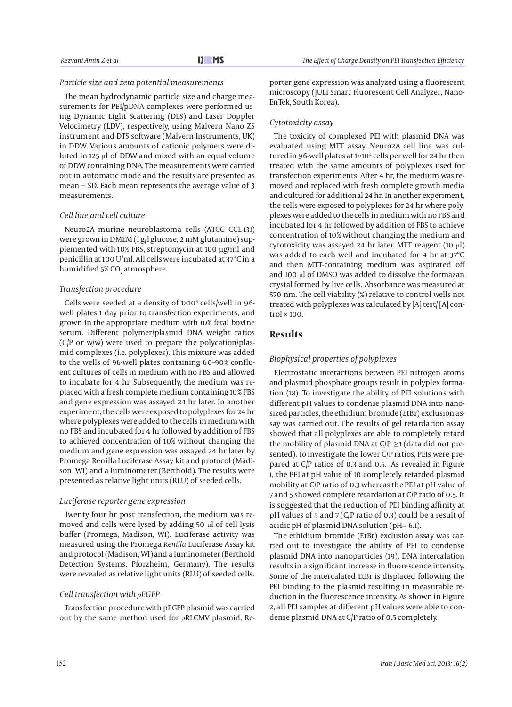#### *Particle size and zeta potential measurements*

The mean hydrodynamic particle size and charge measurements for PEI/pDNA complexes were performed using Dynamic Light Scattering (DLS) and Laser Doppler Velocimetry (LDV), respectively, using Malvern Nano ZS instrument and DTS software (Malvern Instruments, UK) in DDW. Various amounts of cationic polymers were diluted in 125 µl of DDW and mixed with an equal volume of DDW containing DNA. The measurements were carried out in automatic mode and the results are presented as mean  $\pm$  SD. Each mean represents the average value of 3 measurements.

#### *Cell line and cell culture*

Neuro2A murine neuroblastoma cells (ATCC CCL-131) were grown in DMEM (1 g/l glucose, 2 mM glutamine) supplemented with 10% FBS, streptomycin at 100 µg/ml and penicillin at 100 U/ml. All cells were incubated at 37°C in a humidified 5% CO $_{\textrm{\tiny{2}}}$  atmosphere.

#### *Transfection procedure*

Cells were seeded at a density of 1×104 cells/well in 96 well plates 1 day prior to transfection experiments, and grown in the appropriate medium with 10% fetal bovine serum. Different polymer/plasmid DNA weight ratios (C/P or w/w) were used to prepare the polycation/plasmid complexes (i.e. polyplexes). This mixture was added to the wells of 96-well plates containing 60–90% confluent cultures of cells in medium with no FBS and allowed to incubate for 4 hr. Subsequently, the medium was replaced with a fresh complete medium containing 10% FBS and gene expression was assayed 24 hr later. In another experiment, the cells were exposed to polyplexes for 24 hr where polyplexes were added to the cells in medium with no FBS and incubated for 4 hr followed by addition of FBS to achieved concentration of 10% without changing the medium and gene expression was assayed 24 hr later by Promega Renilla Luciferase Assay kit and protocol (Madison, WI) and a luminometer (Berthold). The results were presented as relative light units (RLU) of seeded cells.

#### *Luciferase reporter gene expression*

Twenty four hr post transfection, the medium was removed and cells were lysed by adding 50 μl of cell lysis buffer (Promega, Madison, WI). Luciferase activity was measured using the Promega *Renilla* Luciferase Assay kit and protocol (Madison, WI) and a luminometer (Berthold Detection Systems, Pforzheim, Germany). The results were revealed as relative light units (RLU) of seeded cells.

#### *Cell transfection with ρEGFP*

Transfection procedure with pEGFP plasmid was carried out by the same method used for  $\rho$ RLCMV plasmid. Reporter gene expression was analyzed using a fluorescent microscopy (JULI Smart Fluorescent Cell Analyzer, Nano-EnTek, South Korea).

#### *Cytotoxicity assay*

The toxicity of complexed PEI with plasmid DNA was evaluated using MTT assay. Neuro2A cell line was cultured in 96-well plates at 1×104 cells per well for 24 hr then treated with the same amounts of polyplexes used for transfection experiments. After 4 hr, the medium was removed and replaced with fresh complete growth media and cultured for additional 24 hr. In another experiment, the cells were exposed to polyplexes for 24 hr where polyplexes were added to the cells in medium with no FBS and incubated for 4 hr followed by addition of FBS to achieve concentration of 10% without changing the medium and cytotoxicity was assayed 24 hr later. MTT reagent (10 μl) was added to each well and incubated for 4 hr at 37°C and then MTT-containing medium was aspirated off and 100 μl of DMSO was added to dissolve the formazan crystal formed by live cells. Absorbance was measured at 570 nm. The cell viability (%) relative to control wells not treated with polyplexes was calculated by [A] test/ [A] con $trol \times 100$ 

## **Results**

#### *Biophysical properties of polyplexes*

Electrostatic interactions between PEI nitrogen atoms and plasmid phosphate groups result in polyplex formation (18). To investigate the ability of PEI solutions with different pH values to condense plasmid DNA into nanosized particles, the ethidium bromide (EtBr) exclusion assay was carried out. The results of gel retardation assay showed that all polyplexes are able to completely retard the mobility of plasmid DNA at  $C/P ≥ 1$  (data did not presented). To investigate the lower C/P ratios, PEIs were prepared at C/P ratios of 0.3 and 0.5. As revealed in Figure 1, the PEI at pH value of 10 completely retarded plasmid mobility at C/P ratio of 0.3 whereas the PEI at pH value of 7 and 5 showed complete retardation at C/P ratio of 0.5. It is suggested that the reduction of PEI binding affinity at pH values of 5 and 7 (C/P ratio of 0.3) could be a result of acidic pH of plasmid DNA solution (pH= 6.1).

The ethidium bromide (EtBr) exclusion assay was carried out to investigate the ability of PEI to condense plasmid DNA into nanoparticles (19). DNA intercalation results in a significant increase in fluorescence intensity. Some of the intercalated EtBr is displaced following the PEI binding to the plasmid resulting in measurable reduction in the fluorescence intensity. As shown in Figure 2, all PEI samples at different pH values were able to condense plasmid DNA at C/P ratio of 0.5 completely.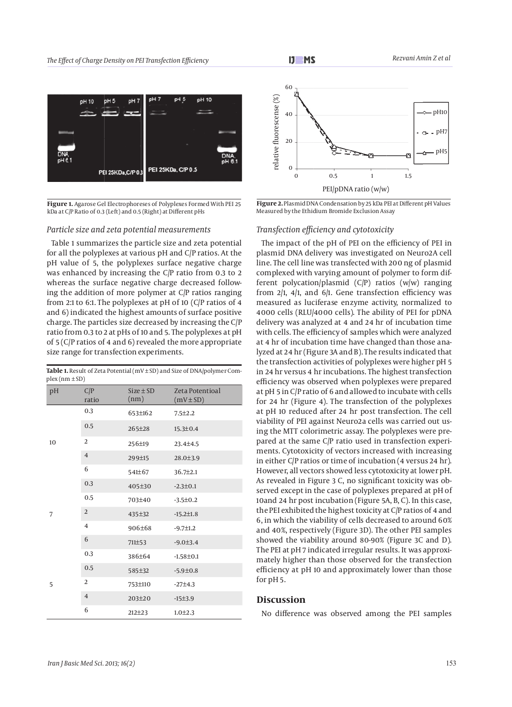

**Figure 1.** Agarose Gel Electrophoreses of Polyplexes Formed With PEI 25 kDa at C/P Ratio of 0.3 (Left) and 0.5 (Right) at Different pHs

#### *Particle size and zeta potential measurements*

Table 1 summarizes the particle size and zeta potential for all the polyplexes at various pH and C/P ratios. At the pH value of 5, the polyplexes surface negative charge was enhanced by increasing the C/P ratio from 0.3 to 2 whereas the surface negative charge decreased following the addition of more polymer at C/P ratios ranging from 2:1 to 6:1. The polyplexes at pH of 10 (C/P ratios of 4 and 6) indicated the highest amounts of surface positive charge. The particles size decreased by increasing the C/P ratio from 0.3 to 2 at pHs of 10 and 5. The polyplexes at pH of 5 (C/P ratios of 4 and 6) revealed the more appropriate size range for transfection experiments.

Table 1. Result of Zeta Potential (mV ± SD) and Size of DNA/polymer Com-

| $plex(nm \pm SD)$ |                |                       |                                  |  |
|-------------------|----------------|-----------------------|----------------------------------|--|
| pH                | C/P<br>ratio   | $Size \pm SD$<br>(nm) | Zeta Potentioal<br>$(mV \pm SD)$ |  |
| 10                | 0.3            | 653±162               | $7.5 \pm 2.2$                    |  |
|                   | 0.5            | 265±28                | $15.3 \pm 0.4$                   |  |
|                   | 2              | 256±19                | 23.4±4.5                         |  |
|                   | $\overline{4}$ | 299±15                | $28.0 \pm 3.9$                   |  |
|                   | 6              | 541±67                | 36.7±2.1                         |  |
| 7                 | 0.3            | 405±30                | $-2.3 \pm 0.1$                   |  |
|                   | 0.5            | 703±40                | $-3.5 \pm 0.2$                   |  |
|                   | $\overline{2}$ | 435±32                | $-15.2 \pm 1.8$                  |  |
|                   | $\overline{4}$ | 906±68                | $-9.7 \pm 1.2$                   |  |
|                   | 6              | 711±53                | $-9.0 \pm 3.4$                   |  |
| 5                 | 0.3            | 386±64                | $-1.58 \pm 0.1$                  |  |
|                   | 0.5            | 585±32                | $-5.9 \pm 0.8$                   |  |
|                   | 2              | 753±110               | $-27±4.3$                        |  |
|                   | $\overline{4}$ | $203 \pm 20$          | $-15±3.9$                        |  |
|                   | 6              | $212 \pm 23$          | $1.0 \pm 2.3$                    |  |



**Figure 2.** Plasmid DNA Condensation by 25 kDa PEI at Different pH Values

#### *Transfection efficiency and cytotoxicity*

The impact of the pH of PEI on the efficiency of PEI in plasmid DNA delivery was investigated on Neuro2A cell line. The cell line was transfected with 200 ng of plasmid complexed with varying amount of polymer to form different polycation/plasmid (C/P) ratios (w/w) ranging from 2/1, 4/1, and 6/1. Gene transfection efficiency was measured as luciferase enzyme activity, normalized to 4000 cells (RLU/4000 cells). The ability of PEI for pDNA delivery was analyzed at 4 and 24 hr of incubation time with cells. The efficiency of samples which were analyzed at 4 hr of incubation time have changed than those analyzed at 24 hr (Figure 3A and B). The results indicated that the transfection activities of polyplexes were higher pH 5 in 24 hr versus 4 hr incubations. The highest transfection efficiency was observed when polyplexes were prepared at pH 5 in C/P ratio of 6 and allowed to incubate with cells for 24 hr (Figure 4). The transfection of the polyplexes at pH 10 reduced after 24 hr post transfection. The cell viability of PEI against Neuro2a cells was carried out using the MTT colorimetric assay. The polyplexes were prepared at the same C/P ratio used in transfection experiments. Cytotoxicity of vectors increased with increasing in either C/P ratios or time of incubation (4 versus 24 hr). However, all vectors showed less cytotoxicity at lower pH. As revealed in Figure 3 C, no significant toxicity was observed except in the case of polyplexes prepared at pH of 10and 24 hr post incubation (Figure 5A, B, C). In this case, the PEI exhibited the highest toxicity at C/P ratios of 4 and 6, in which the viability of cells decreased to around 60% and 40%, respectively (Figure 3D). The other PEI samples showed the viability around 80-90% (Figure 3C and D). The PEI at pH 7 indicated irregular results. It was approximately higher than those observed for the transfection efficiency at pH 10 and approximately lower than those for pH 5.

### **Discussion**

No difference was observed among the PEI samples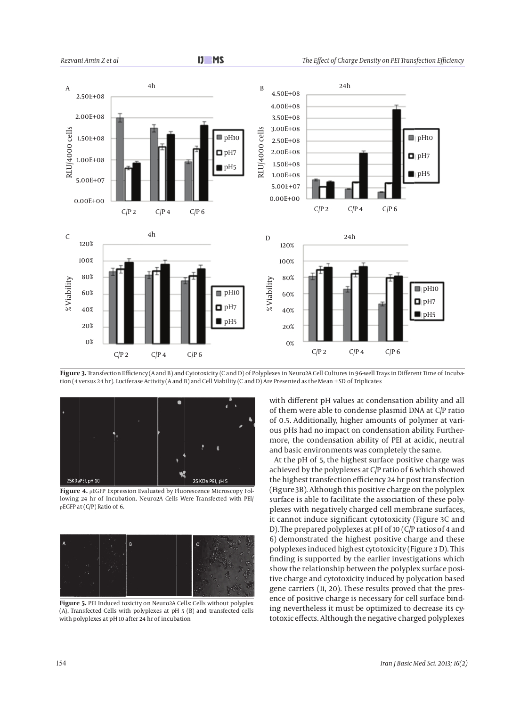

**Figure 3.** Transfection Efficiency (A and B) and Cytotoxicity (C and D) of Polyplexes in Neuro2A Cell Cultures in 96-well Trays in Different Time of Incubation (4 versus 24 hr). Luciferase Activity (A and B) and Cell Viability (C and D) Are Presented as the Mean ± SD of Triplicates



**Figure 4.** ρEGFP Expression Evaluated by Fluorescence Microscopy Following 24 hr of Incubation. Neuro2A Cells Were Transfected with PEI/ ρEGFP at (C/P) Ratio of 6.



Figure 5. PEI Induced toxicity on Neuro2A Cells: Cells without polyplex (A), Transfected Cells with polyplexes at pH 5 (B) and transfected cells with polyplexes at pH 10 after 24 hr of incubation

with different pH values at condensation ability and all of them were able to condense plasmid DNA at C/P ratio of 0.5. Additionally, higher amounts of polymer at various pHs had no impact on condensation ability. Furthermore, the condensation ability of PEI at acidic, neutral and basic environments was completely the same.

At the pH of 5, the highest surface positive charge was achieved by the polyplexes at C/P ratio of 6 which showed the highest transfection efficiency 24 hr post transfection (Figure 3B). Although this positive charge on the polyplex surface is able to facilitate the association of these polyplexes with negatively charged cell membrane surfaces, it cannot induce significant cytotoxicity (Figure 3C and D). The prepared polyplexes at pH of 10 (C/P ratios of 4 and 6) demonstrated the highest positive charge and these polyplexes induced highest cytotoxicity (Figure 3 D). This finding is supported by the earlier investigations which show the relationship between the polyplex surface positive charge and cytotoxicity induced by polycation based gene carriers (11, 20). These results proved that the presence of positive charge is necessary for cell surface binding nevertheless it must be optimized to decrease its cytotoxic effects. Although the negative charged polyplexes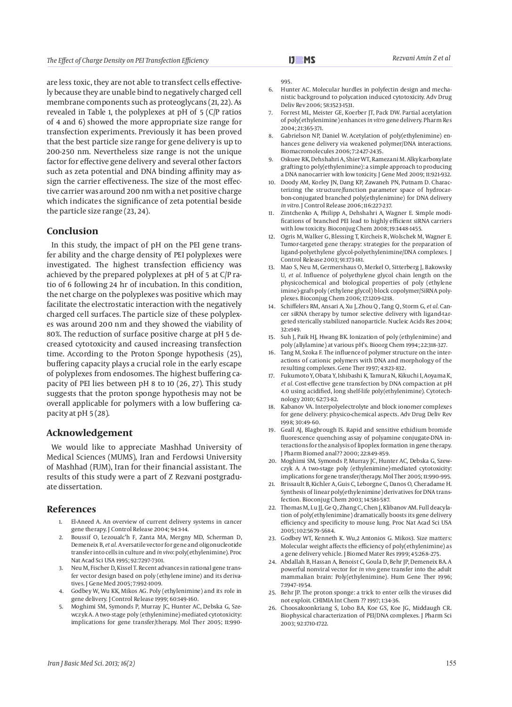are less toxic, they are not able to transfect cells effectively because they are unable bind to negatively charged cell membrane components such as proteoglycans (21, 22). As revealed in Table 1, the polyplexes at pH of 5 (C/P ratios of 4 and 6) showed the more appropriate size range for transfection experiments. Previously it has been proved that the best particle size range for gene delivery is up to 200-250 nm. Nevertheless size range is not the unique factor for effective gene delivery and several other factors such as zeta potential and DNA binding affinity may assign the carrier effectiveness. The size of the most effective carrier was around 200 nm with a net positive charge which indicates the significance of zeta potential beside the particle size range (23, 24).

## **Conclusion**

In this study, the impact of pH on the PEI gene transfer ability and the charge density of PEI polyplexes were investigated. The highest transfection efficiency was achieved by the prepared polyplexes at pH of 5 at C/P ratio of 6 following 24 hr of incubation. In this condition, the net charge on the polyplexes was positive which may facilitate the electrostatic interaction with the negatively charged cell surfaces. The particle size of these polyplexes was around 200 nm and they showed the viability of 80%. The reduction of surface positive charge at pH 5 decreased cytotoxicity and caused increasing transfection time. According to the Proton Sponge hypothesis (25), buffering capacity plays a crucial role in the early escape of polyplexes from endosomes. The highest buffering capacity of PEI lies between pH 8 to 10 (26, 27). This study suggests that the proton sponge hypothesis may not be overall applicable for polymers with a low buffering capacity at pH 5 (28).

### **Acknowledgement**

We would like to appreciate Mashhad University of Medical Sciences (MUMS), Iran and Ferdowsi University of Mashhad (FUM), Iran for their financial assistant. The results of this study were a part of Z Rezvani postgraduate dissertation.

## **References**

- 1. El-Aneed A. An overview of current delivery systems in cancer gene therapy. J Control Release 2004; 94:1-14.
- 2. Boussif O, Lezoualc'h F, Zanta MA, Mergny MD, Scherman D, Demeneix B, *et al.* A versatile vector for gene and oligonucleotide transfer into cells in culture and *in vivo*: poly(ethylenimine). Proc Nat Acad Sci USA 1995; 92:7297-7301.
- 3. Neu M, Fischer D, Kissel T. Recent advances in rational gene transfer vector design based on poly (ethylene imine) and its derivatives. J Gene Med 2005; 7:992-1009.
- 4. Godbey W, Wu KK, Mikos AG. Poly (ethylenimine) and its role in gene delivery. J Control Release 1999; 60:149-160.
- 5. Moghimi SM, Symonds P, Murray JC, Hunter AC, Debska G, Szewczyk A. A two-stage poly (ethylenimine)-mediated cytotoxicity: implications for gene transfer/therapy. Mol Ther 2005; 11:990-

995.

- 6. Hunter AC. Molecular hurdles in polyfectin design and mechanistic background to polycation induced cytotoxicity. Adv Drug Deliv Rev 2006; 58:1523-1531.
- 7. Forrest ML, Meister GE, Koerber JT, Pack DW. Partial acetylation of poly(ethylenimine) enhances *in vitro* gene delivery. Pharm Res 2004; 21:365-371.
- 8. Gabrielson NP, Daniel W. Acetylation of poly(ethylenimine) enhances gene delivery via weakened polymer/DNA interactions. Biomacromolecules 2006; 7:2427-2435.
- 9. Oskuee RK, Dehshahri A, Shier WT, Ramezani M. Alkylcarboxylate grafting to poly(ethylenimine): a simple approach to producing a DNA nanocarrier with low toxicity. J Gene Med 2009; 11:921-932.
- 10. Doody AM, Korley JN, Dang KP, Zawaneh PN, Putnam D. Characterizing the structure/function parameter space of hydrocarbon-conjugated branched poly(ethylenimine) for DNA delivery *in vitro*. J Control Release 2006; 116:227-237.
- 11. Zintchenko A, Philipp A, Dehshahri A, Wagner E. Simple modifications of branched PEI lead to highly efficient siRNA carriers with low toxicity. Bioconjug Chem 2008; 19:1448-1455.
- 12. Ogris M, Walker G, Blessing T, Kircheis R, Wolschek M, Wagner E. Tumor-targeted gene therapy: strategies for the preparation of ligand-polyethylene glycol-polyethylenimine/DNA complexes. J Control Release 2003; 91:173-181.
- 13. Mao S, Neu M, Germershaus O, Merkel O, Sitterberg J, Bakowsky U, *et al.* Influence of polyethylene glycol chain length on the physicochemical and biological properties of poly (ethylene imine)-graft-poly (ethylene glycol) block copolymer/SiRNA polyplexes. Bioconjug Chem 2006; 17:1209-1218.
- 14. Schiffelers RM, Ansari A, Xu J, Zhou Q, Tang Q , Storm G, *et al.* Cancer siRNA therapy by tumor selective delivery with ligand-targeted sterically stabilized nanoparticle. Nucleic Acids Res 2004; 32:e149.
- Suh J, Paik HJ, Hwang BK. Ionization of poly (ethylenimine) and poly (allylamine) at various pH's. Bioorg Chem 1994; 22:318-327.
- 16. Tang M, Szoka F. The influence of polymer structure on the interactions of cationic polymers with DNA and morphology of the resulting complexes. Gene Ther 1997; 4:823-832.
- 17. Fukumoto Y, Obata Y, Ishibashi K, Tamura N, Kikuchi I, Aoyama K, *et al.* Cost-effective gene transfection by DNA compaction at pH 4.0 using acidified, long shelf-life poly(ethylenimine). Cytotechnology 2010; 62:73-82.
- 18. Kabanov VA. Interpolyelectrolyte and block ionomer complexes for gene delivery: physico-chemical aspects. Adv Drug Deliv Rev 1998; 30:49-60.
- 19. Geall AJ, Blagbrough IS. Rapid and sensitive ethidium bromide fluorescence quenching assay of polyamine conjugate-DNA interactions for the analysis of lipoplex formation in gene therapy. J Pharm Biomed anal?? 2000; 22:849-859.
- 20. Moghimi SM, Symonds P, Murray JC, Hunter AC, Debska G, Szewczyk A. A two-stage poly (ethylenimine)-mediated cytotoxicity: implications for gene transfer/therapy. Mol Ther 2005; 11:990-995.
- 21. Brissault B, Kichler A, Guis C, Leborgne C, Danos O, Cheradame H. Synthesis of linear poly(ethylenimine) derivatives for DNA transfection. Bioconjug Chem 2003; 14:581-587.
- 22. Thomas M, Lu JJ, Ge Q, Zhang C, Chen J, Klibanov AM. Full deacylation of poly(ethylenimine) dramatically boosts its gene delivery efficiency and specificity to mouse lung. Proc Nat Acad Sci USA 2005; 102:5679-5684.
- 23. Godbey WT, Kenneth K. Wu,2 Antonios G. Mikos3. Size matters: Molecular weight affects the efficiency of poly(ethylenimine) as a gene delivery vehicle. J Biomed Mater Res 1999; 45:268–275.
- 24. Abdallah B, Hassan A, Benoist C, Goula D, Behr JP, Demeneix BA. A powerful nonviral vector for *in vivo* gene transfer into the adult mammalian brain: Poly(ethylenimine). Hum Gene Ther 1996; 7:1947–1954.
- 25. Behr JP. The proton sponge: a trick to enter cells the viruses did not exploit. CHIMIA Int Chem ?? 1997; 1:34-36.
- 26. Choosakoonkriang S, Lobo BA, Koe GS, Koe JG, Middaugh CR. Biophysical characterization of PEI/DNA complexes. J Pharm Sci 2003; 92:1710-1722.